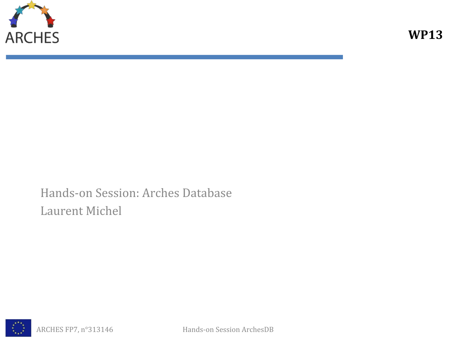

Hands-on Session: Arches Database Laurent Michel

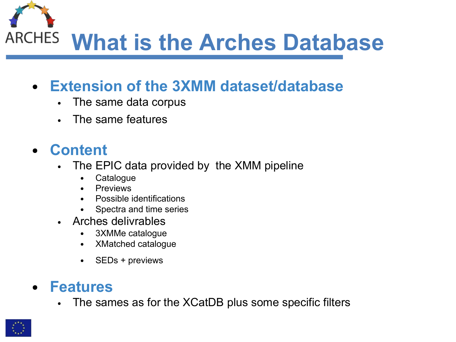**What is the Arches Database**

### **• Extension of the 3XMM dataset/database**

- The same data corpus
- The same features

### **• Content**

- The EPIC data provided by the XMM pipeline
	- Catalogue
	- Previews
	- Possible identifications
	- Spectra and time series
- Arches delivrables
	- 3XMMe catalogue
	- XMatched catalogue
	- SEDs + previews

#### **• Features**

• The sames as for the XCatDB plus some specific filters

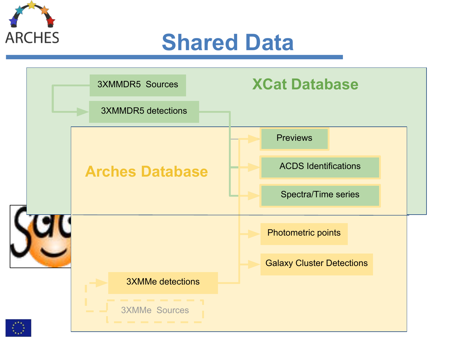



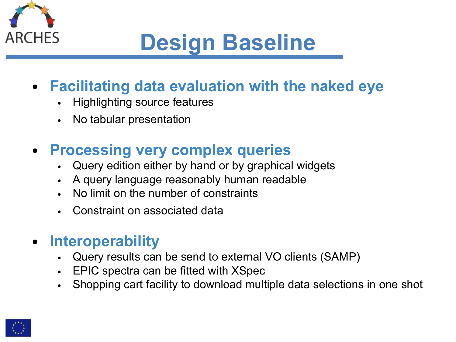

# **Design Baseline**

### **• Facilitating data evaluation with the naked eye**

- Highlighting source features
- No tabular presentation

### **• Processing very complex queries**

- Query edition either by hand or by graphical widgets
- A query language reasonably human readable
- No limit on the number of constraints
- Constraint on associated data

#### **• Interoperability**

- Query results can be send to external VO clients (SAMP)
- EPIC spectra can be fitted with XSpec
- Shopping cart facility to download multiple data selections in one shot

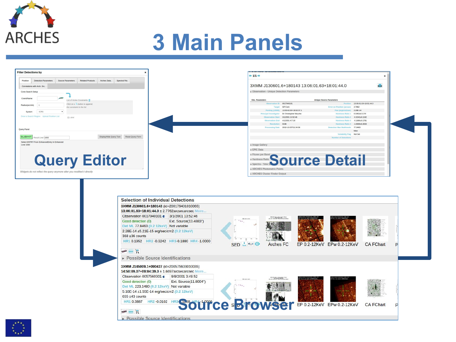

## **3 Main Panels**

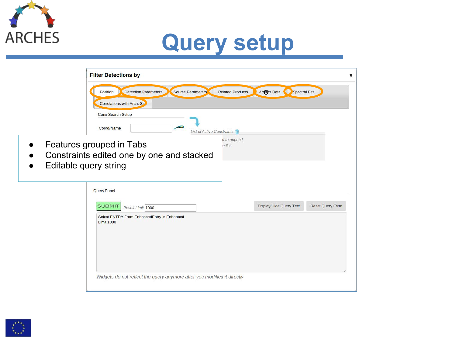

## **Query setup**

|                       | <b>Filter Detections by</b><br>×                                                                                                |
|-----------------------|---------------------------------------------------------------------------------------------------------------------------------|
|                       | Arches Data.<br><b>Detection Parameters</b><br>Source Parameters<br><b>Related Products</b><br><b>Spectral Fits</b><br>Position |
|                       | Correlations with Arch. Sre<br>Cone Search Setup                                                                                |
|                       | mes <sub>5</sub><br>Coord/Name<br>List of Active Constraints                                                                    |
| Editable query string | n to append,<br>Features grouped in Tabs<br>e list<br>Constraints edited one by one and stacked                                 |
|                       | <b>Query Panel</b>                                                                                                              |
|                       | Display/Hide Query Text<br><b>Reset Query Form</b><br><b>SUBMIT</b><br>Result Limit 1000                                        |
|                       | Select ENTRY From EnhancedEntry In Enhanced<br><b>Limit 1000</b>                                                                |
|                       | Widgets do not reflect the query anymore after you modified it directly                                                         |

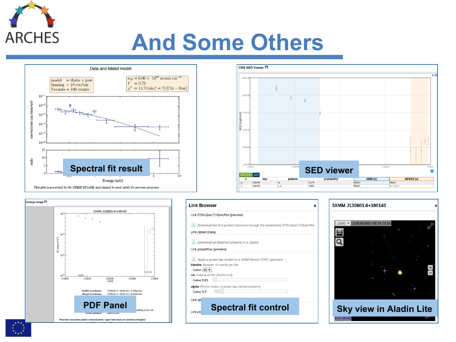

### **And Some Others**

CDS SED Viewer 門

 $1.0e-1$ 

 $1.0e-1$ 

 $\sqrt{2}$  1.0e-1







 $\overline{\ast}$ 



 $\triangleright$  S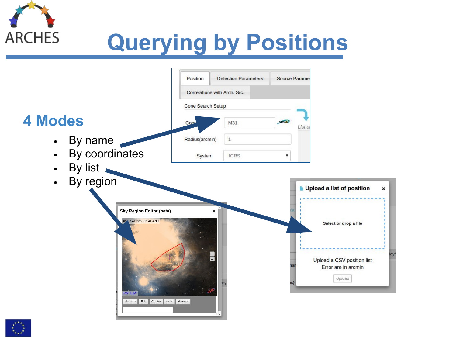

# **Querying by Positions**

|                                                              | Position                     | <b>Detection Parameters</b> | <b>Source Parame</b> |                                                             |  |
|--------------------------------------------------------------|------------------------------|-----------------------------|----------------------|-------------------------------------------------------------|--|
|                                                              | Correlations with Arch. Src. |                             |                      |                                                             |  |
|                                                              | Cone Search Setup            |                             |                      |                                                             |  |
| <b>4 Modes</b>                                               | Coor                         | M31                         | <b>SIMBAD</b>        | List of                                                     |  |
| By name                                                      | Radius(arcmin)               | $\mathbf{1}$                |                      |                                                             |  |
| By coordinates<br>$\bullet$                                  | System                       | <b>ICRS</b>                 | ▼                    |                                                             |  |
| By list<br>$\bullet$                                         |                              |                             |                      |                                                             |  |
| By region<br>$\bullet$                                       |                              |                             |                      | Upload a list of position<br>$\boldsymbol{\mathsf{x}}$      |  |
|                                                              |                              |                             |                      |                                                             |  |
| <b>Sky Region Editor (beta)</b><br>05 32 41.236 - 05 41 4.90 | ×                            |                             |                      |                                                             |  |
| FoV: 1.1A<br>Edit Center<br>clear<br><b>Browse</b>           | Accept                       | $+$                         |                      | Upload a CSV position list<br>Error are in arcmin<br>Upload |  |
|                                                              |                              |                             |                      |                                                             |  |

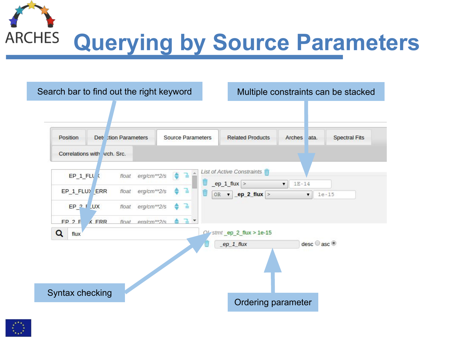



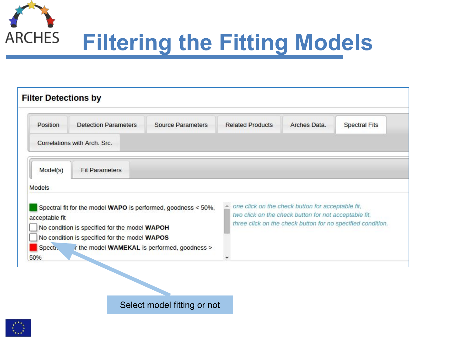

| <b>Filter Detections by</b>                                                                                                                                                       |                                              |                                                                                                                                                                                                        |                         |              |                      |  |  |  |
|-----------------------------------------------------------------------------------------------------------------------------------------------------------------------------------|----------------------------------------------|--------------------------------------------------------------------------------------------------------------------------------------------------------------------------------------------------------|-------------------------|--------------|----------------------|--|--|--|
| <b>Position</b>                                                                                                                                                                   | <b>Detection Parameters</b>                  | <b>Source Parameters</b>                                                                                                                                                                               | <b>Related Products</b> | Arches Data. | <b>Spectral Fits</b> |  |  |  |
|                                                                                                                                                                                   | Correlations with Arch. Src.                 |                                                                                                                                                                                                        |                         |              |                      |  |  |  |
| Model(s)                                                                                                                                                                          | <b>Fit Parameters</b>                        |                                                                                                                                                                                                        |                         |              |                      |  |  |  |
| <b>Models</b>                                                                                                                                                                     |                                              |                                                                                                                                                                                                        |                         |              |                      |  |  |  |
| Spectral fit for the model WAPO is performed, goodness < 50%,<br>acceptable fit<br>No condition is specified for the model WAPOH<br>No condition is specified for the model WAPOS |                                              | one click on the check button for acceptable fit,<br>$\mathcal{A}_\mathcal{C}$<br>two click on the check button for not acceptable fit,<br>three click on the check button for no specified condition. |                         |              |                      |  |  |  |
| Specti.<br>50%                                                                                                                                                                    | r the model WAMEKAL is performed, goodness > |                                                                                                                                                                                                        |                         |              |                      |  |  |  |

Select model fitting or not

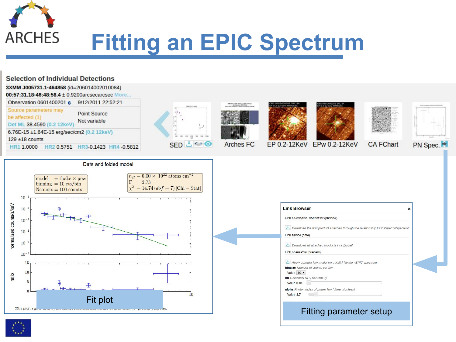

# **Fitting an EPIC Spectrum**



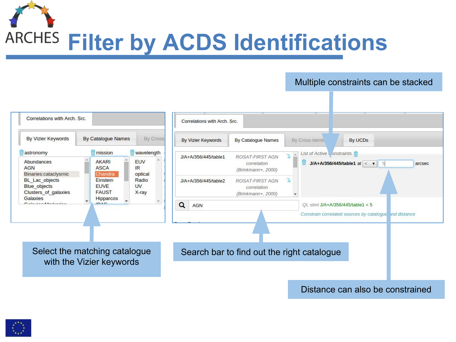**ARCHES Filter by ACDS Identifications** 

#### Multiple constraints can be stacked